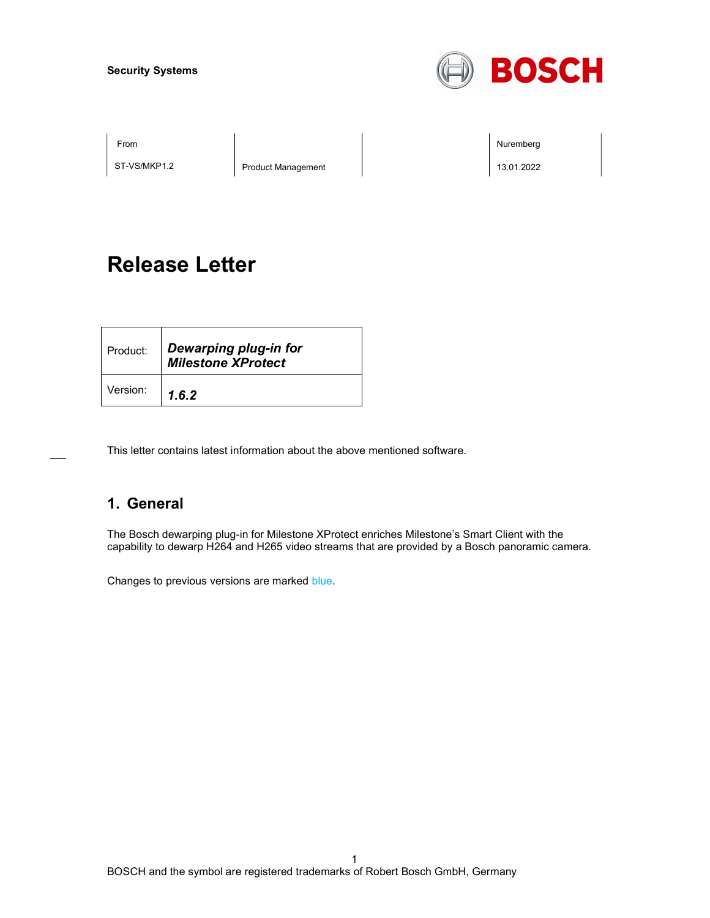#### Security Systems



ST-VS/MKP1.2 | Product Management | 13.01.2022

From Nuremberg Nuremberg **Nuremberg Nuremberg Nuremberg Nuremberg** 

# Release Letter

| Product: | Dewarping plug-in for<br><b>Milestone XProtect</b> |
|----------|----------------------------------------------------|
| Version: | 1.6.2                                              |

This letter contains latest information about the above mentioned software.

### 1. General

The Bosch dewarping plug-in for Milestone XProtect enriches Milestone's Smart Client with the capability to dewarp H264 and H265 video streams that are provided by a Bosch panoramic camera.

Changes to previous versions are marked blue.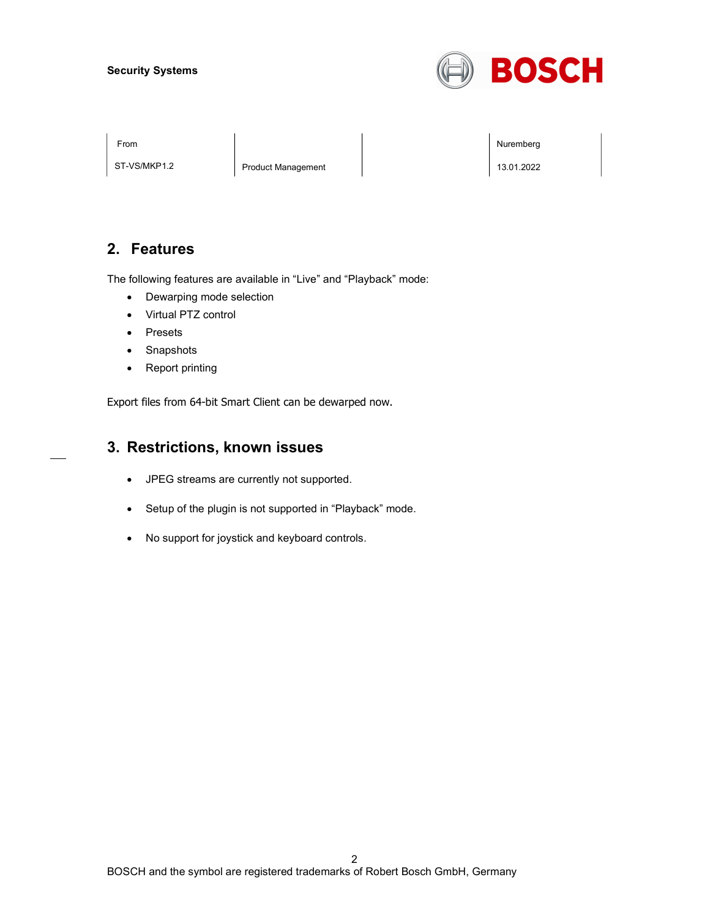#### Security Systems



ST-VS/MKP1.2 | Product Management | 13.01.2022

From Nuremberg Nuremberg **Nuremberg Nuremberg Nuremberg Nuremberg** 

### 2. Features

The following features are available in "Live" and "Playback" mode:

- Dewarping mode selection
- Virtual PTZ control
- Presets
- Snapshots
- Report printing

Export files from 64-bit Smart Client can be dewarped now.

#### 3. Restrictions, known issues

- JPEG streams are currently not supported.
- Setup of the plugin is not supported in "Playback" mode.
- No support for joystick and keyboard controls.